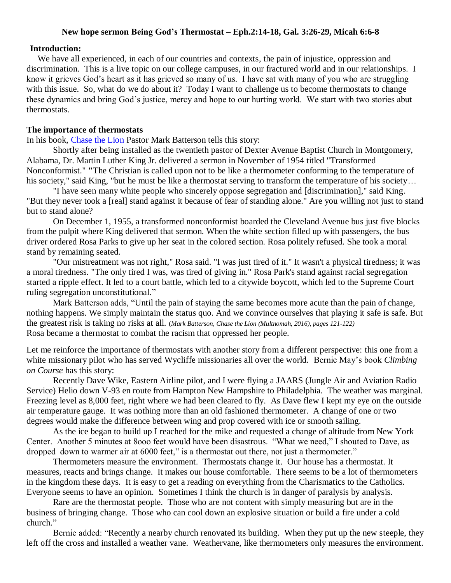#### **New hope sermon Being God's Thermostat – Eph.2:14-18, Gal. 3:26-29, Micah 6:6-8**

#### **Introduction:**

We have all experienced, in each of our countries and contexts, the pain of injustice, oppression and discrimination. This is a live topic on our college campuses, in our fractured world and in our relationships. I know it grieves God's heart as it has grieved so many of us. I have sat with many of you who are struggling with this issue. So, what do we do about it? Today I want to challenge us to become thermostats to change these dynamics and bring God's justice, mercy and hope to our hurting world. We start with two stories abut thermostats.

#### **The importance of thermostats**

In his book, [Chase the Lion](https://www.amazon.com/Chase-Lion-Dream-Doesnt-Scare/dp/1601428855/ref=sr_1_1?ie=UTF8&qid=1506987143&sr=8-1&keywords=Batterson%2C+Chase+the+Lion) Pastor Mark Batterson tells this story:

Shortly after being installed as the twentieth pastor of Dexter Avenue Baptist Church in Montgomery, Alabama, Dr. Martin Luther King Jr. delivered a sermon in November of 1954 titled "Transformed Nonconformist." **"**The Christian is called upon not to be like a thermometer conforming to the temperature of his society," said King, "but he must be like a thermostat serving to transform the temperature of his society...

"I have seen many white people who sincerely oppose segregation and [discrimination]," said King. "But they never took a [real] stand against it because of fear of standing alone." Are you willing not just to stand but to stand alone?

On December 1, 1955, a transformed nonconformist boarded the Cleveland Avenue bus just five blocks from the pulpit where King delivered that sermon. When the white section filled up with passengers, the bus driver ordered Rosa Parks to give up her seat in the colored section. Rosa politely refused. She took a moral stand by remaining seated.

"Our mistreatment was not right," Rosa said. "I was just tired of it." It wasn't a physical tiredness; it was a moral tiredness. "The only tired I was, was tired of giving in." Rosa Park's stand against racial segregation started a ripple effect. It led to a court battle, which led to a citywide boycott, which led to the Supreme Court ruling segregation unconstitutional."

Mark Batterson adds, "Until the pain of staying the same becomes more acute than the pain of change, nothing happens. We simply maintain the status quo. And we convince ourselves that playing it safe is safe. But the greatest risk is taking no risks at all. (*Mark Batterson, Chase the Lion (Multnomah, 2016), pages 121-122)* Rosa became a thermostat to combat the racism that oppressed her people.

Let me reinforce the importance of thermostats with another story from a different perspective: this one from a white missionary pilot who has served Wycliffe missionaries all over the world. Bernie May's book *Climbing on Course* has this story:

Recently Dave Wike, Eastern Airline pilot, and I were flying a JAARS (Jungle Air and Aviation Radio Service) Helio down V-93 en route from Hampton New Hampshire to Philadelphia. The weather was marginal. Freezing level as 8,000 feet, right where we had been cleared to fly. As Dave flew I kept my eye on the outside air temperature gauge. It was nothing more than an old fashioned thermometer. A change of one or two degrees would make the difference between wing and prop covered with ice or smooth sailing.

As the ice began to build up I reached for the mike and requested a change of altitude from New York Center. Another 5 minutes at 8ooo feet would have been disastrous. "What we need," I shouted to Dave, as dropped down to warmer air at 6000 feet," is a thermostat out there, not just a thermometer."

Thermometers measure the environment. Thermostats change it. Our house has a thermostat. It measures, reacts and brings change. It makes our house comfortable. There seems to be a lot of thermometers in the kingdom these days. It is easy to get a reading on everything from the Charismatics to the Catholics. Everyone seems to have an opinion. Sometimes I think the church is in danger of paralysis by analysis.

Rare are the thermostat people. Those who are not content with simply measuring but are in the business of bringing change. Those who can cool down an explosive situation or build a fire under a cold church."

Bernie added: "Recently a nearby church renovated its building. When they put up the new steeple, they left off the cross and installed a weather vane. Weathervane, like thermometers only measures the environment.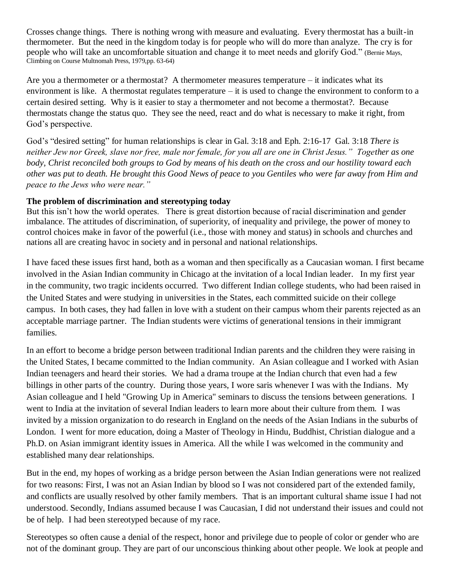Crosses change things. There is nothing wrong with measure and evaluating. Every thermostat has a built-in thermometer. But the need in the kingdom today is for people who will do more than analyze. The cry is for people who will take an uncomfortable situation and change it to meet needs and glorify God." (Bernie Mays, Climbing on Course Multnomah Press, 1979,pp. 63-64)

Are you a thermometer or a thermostat? A thermometer measures temperature  $-$  it indicates what its environment is like. A thermostat regulates temperature – it is used to change the environment to conform to a certain desired setting. Why is it easier to stay a thermometer and not become a thermostat?. Because thermostats change the status quo. They see the need, react and do what is necessary to make it right, from God's perspective.

God's "desired setting" for human relationships is clear in Gal. 3:18 and Eph. 2:16-17 Gal. 3:18 *There is neither Jew nor Greek, slave nor free, male nor female, for you all are one in Christ Jesus." Together as one body, Christ reconciled both groups to God by means of his death on the cross and our hostility toward each other was put to death. He brought this Good News of peace to you Gentiles who were far away from Him and peace to the Jews who were near."*

# **The problem of discrimination and stereotyping today**

But this isn't how the world operates. There is great distortion because of racial discrimination and gender imbalance. The attitudes of discrimination, of superiority, of inequality and privilege, the power of money to control choices make in favor of the powerful (i.e., those with money and status) in schools and churches and nations all are creating havoc in society and in personal and national relationships.

I have faced these issues first hand, both as a woman and then specifically as a Caucasian woman. I first became involved in the Asian Indian community in Chicago at the invitation of a local Indian leader. In my first year in the community, two tragic incidents occurred. Two different Indian college students, who had been raised in the United States and were studying in universities in the States, each committed suicide on their college campus. In both cases, they had fallen in love with a student on their campus whom their parents rejected as an acceptable marriage partner. The Indian students were victims of generational tensions in their immigrant families.

In an effort to become a bridge person between traditional Indian parents and the children they were raising in the United States, I became committed to the Indian community. An Asian colleague and I worked with Asian Indian teenagers and heard their stories. We had a drama troupe at the Indian church that even had a few billings in other parts of the country. During those years, I wore saris whenever I was with the Indians. My Asian colleague and I held "Growing Up in America" seminars to discuss the tensions between generations. I went to India at the invitation of several Indian leaders to learn more about their culture from them. I was invited by a mission organization to do research in England on the needs of the Asian Indians in the suburbs of London. I went for more education, doing a Master of Theology in Hindu, Buddhist, Christian dialogue and a Ph.D. on Asian immigrant identity issues in America. All the while I was welcomed in the community and established many dear relationships.

But in the end, my hopes of working as a bridge person between the Asian Indian generations were not realized for two reasons: First, I was not an Asian Indian by blood so I was not considered part of the extended family, and conflicts are usually resolved by other family members. That is an important cultural shame issue I had not understood. Secondly, Indians assumed because I was Caucasian, I did not understand their issues and could not be of help. I had been stereotyped because of my race.

Stereotypes so often cause a denial of the respect, honor and privilege due to people of color or gender who are not of the dominant group. They are part of our unconscious thinking about other people. We look at people and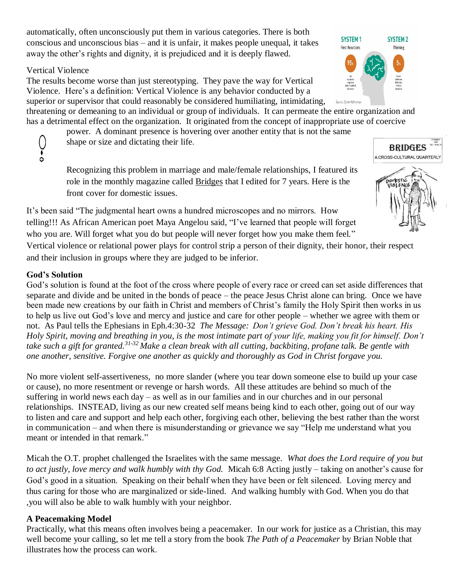automatically, often unconsciously put them in various categories. There is both conscious and unconscious bias – and it is unfair, it makes people unequal, it takes away the other's rights and dignity, it is prejudiced and it is deeply flawed.

### Vertical Violence

The results become worse than just stereotyping. They pave the way for Vertical Violence. Here's a definition: Vertical Violence is any behavior conducted by a superior or supervisor that could reasonably be considered humiliating, intimidating,

Saurce: Daniel Kahnema threatening or demeaning to an individual or group of individuals. It can permeate the entire organization and has a detrimental effect on the organization. It originated from the concept of inappropriate use of coercive

power. A dominant presence is hovering over another entity that is not the same shape or size and dictating their life.

Recognizing this problem in marriage and male/female relationships, I featured its role in the monthly magazine called Bridges that I edited for 7 years. Here is the front cover for domestic issues.

It's been said "The judgmental heart owns a hundred microscopes and no mirrors. How telling!!! As African American poet Maya Angelou said, "I've learned that people will forget who you are. Will forget what you do but people will never forget how you make them feel."

Vertical violence or relational power plays for control strip a person of their dignity, their honor, their respect and their inclusion in groups where they are judged to be inferior.

# **God's Solution**

God's solution is found at the foot of the cross where people of every race or creed can set aside differences that separate and divide and be united in the bonds of peace – the peace Jesus Christ alone can bring. Once we have been made new creations by our faith in Christ and members of Christ's family the Holy Spirit then works in us to help us live out God's love and mercy and justice and care for other people – whether we agree with them or not. As Paul tells the Ephesians in Eph.4:30-32 *The Message: Don't grieve God. Don't break his heart. His Holy Spirit, moving and breathing in you, is the most intimate part of your life, making you fit for himself. Don't take such a gift for granted.31-32 Make a clean break with all cutting, backbiting, profane talk. Be gentle with one another, sensitive. Forgive one another as quickly and thoroughly as God in Christ forgave you.*

No more violent self-assertiveness, no more slander (where you tear down someone else to build up your case or cause), no more resentment or revenge or harsh words. All these attitudes are behind so much of the suffering in world news each day – as well as in our families and in our churches and in our personal relationships. INSTEAD, living as our new created self means being kind to each other, going out of our way to listen and care and support and help each other, forgiving each other, believing the best rather than the worst in communication – and when there is misunderstanding or grievance we say "Help me understand what you meant or intended in that remark."

Micah the O.T. prophet challenged the Israelites with the same message. *What does the Lord require of you but to act justly, love mercy and walk humbly with thy God.* Micah 6:8 Acting justly – taking on another's cause for God's good in a situation. Speaking on their behalf when they have been or felt silenced. Loving mercy and thus caring for those who are marginalized or side-lined. And walking humbly with God. When you do that ,you will also be able to walk humbly with your neighbor.

# **A Peacemaking Model**

Practically, what this means often involves being a peacemaker. In our work for justice as a Christian, this may well become your calling, so let me tell a story from the book *The Path of a Peacemaker* by Brian Noble that illustrates how the process can work.





**BRIDGES**